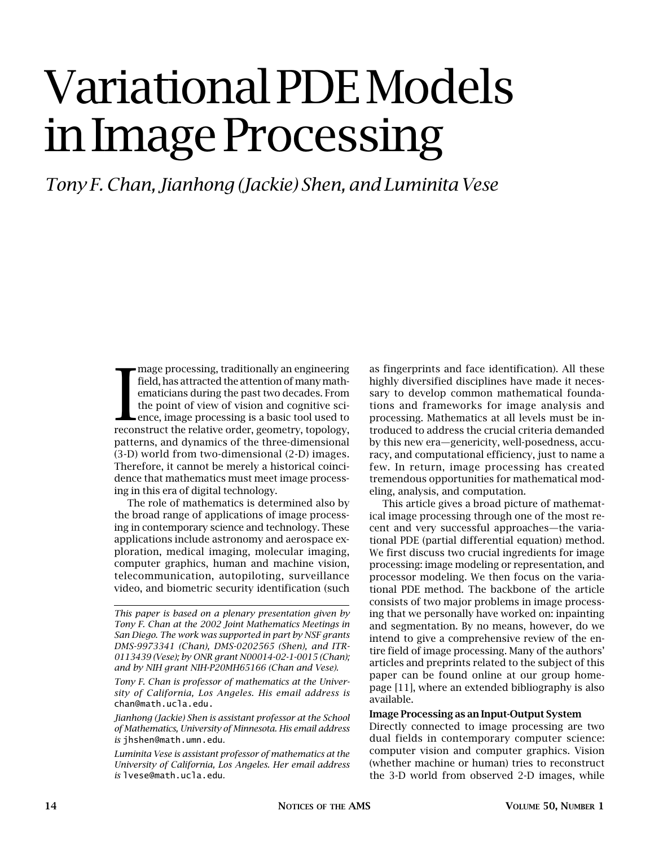# Variational PDE Models in Image Processing

*Tony F. Chan, Jianhong (Jackie) Shen, and Luminita Vese*

mage processing, traditionally an engineering<br>field, has attracted the attention of many math-<br>ematicians during the past two decades. From<br>the point of view of vision and cognitive sci-<br>ence, image processing is a basic t mage processing, traditionally an engineering field, has attracted the attention of many mathematicians during the past two decades. From the point of view of vision and cognitive science, image processing is a basic tool used to patterns, and dynamics of the three-dimensional (3-D) world from two-dimensional (2-D) images. Therefore, it cannot be merely a historical coincidence that mathematics must meet image processing in this era of digital technology.

The role of mathematics is determined also by the broad range of applications of image processing in contemporary science and technology. These applications include astronomy and aerospace exploration, medical imaging, molecular imaging, computer graphics, human and machine vision, telecommunication, autopiloting, surveillance video, and biometric security identification (such

*Tony F. Chan is professor of mathematics at the University of California, Los Angeles. His email address is* chan@math.ucla.edu.

*Jianhong (Jackie) Shen is assistant professor at the School of Mathematics, University of Minnesota. His email address is* jhshen@math.umn.edu*.*

*Luminita Vese is assistant professor of mathematics at the University of California, Los Angeles. Her email address is* lvese@math.ucla.edu*.*

as fingerprints and face identification). All these highly diversified disciplines have made it necessary to develop common mathematical foundations and frameworks for image analysis and processing. Mathematics at all levels must be introduced to address the crucial criteria demanded by this new era—genericity, well-posedness, accuracy, and computational efficiency, just to name a few. In return, image processing has created tremendous opportunities for mathematical modeling, analysis, and computation.

This article gives a broad picture of mathematical image processing through one of the most recent and very successful approaches—the variational PDE (partial differential equation) method. We first discuss two crucial ingredients for image processing: image modeling or representation, and processor modeling. We then focus on the variational PDE method. The backbone of the article consists of two major problems in image processing that we personally have worked on: inpainting and segmentation. By no means, however, do we intend to give a comprehensive review of the entire field of image processing. Many of the authors' articles and preprints related to the subject of this paper can be found online at our group homepage [11], where an extended bibliography is also available.

#### **Image Processing as an Input-Output System**

Directly connected to image processing are two dual fields in contemporary computer science: computer vision and computer graphics. Vision (whether machine or human) tries to reconstruct the 3-D world from observed 2-D images, while

*This paper is based on a plenary presentation given by Tony F. Chan at the 2002 Joint Mathematics Meetings in San Diego. The work was supported in part by NSF grants DMS-9973341 (Chan), DMS-0202565 (Shen), and ITR-0113439 (Vese); by ONR grant N00014-02-1-0015 (Chan); and by NIH grant NIH-P20MH65166 (Chan and Vese).*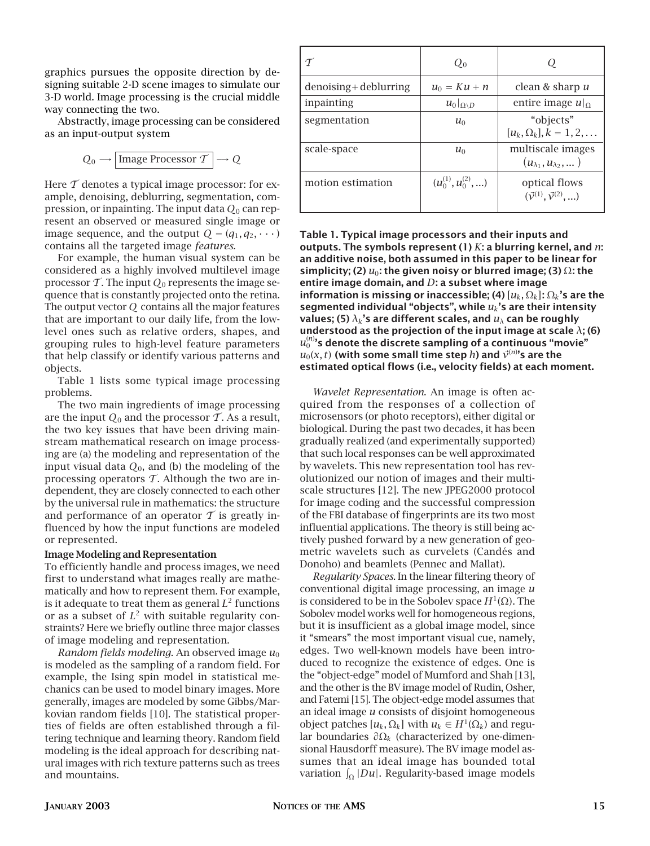graphics pursues the opposite direction by designing suitable 2-D scene images to simulate our 3-D world. Image processing is the crucial middle way connecting the two.

Abstractly, image processing can be considered as an input-output system

$$
Q_0 \longrightarrow \boxed{\text{Image Processor } \mathcal{T}} \longrightarrow Q
$$

Here  $\mathcal T$  denotes a typical image processor: for example, denoising, deblurring, segmentation, compression, or inpainting. The input data *Q*<sup>0</sup> can represent an observed or measured single image or image sequence, and the output  $Q = (q_1, q_2, \dots)$ contains all the targeted image *features.*

For example, the human visual system can be considered as a highly involved multilevel image processor  $\mathcal T$ . The input  $Q_0$  represents the image sequence that is constantly projected onto the retina. The output vector *Q* contains all the major features that are important to our daily life, from the lowlevel ones such as relative orders, shapes, and grouping rules to high-level feature parameters that help classify or identify various patterns and objects.

Table 1 lists some typical image processing problems.

The two main ingredients of image processing are the input  $Q_0$  and the processor  $\mathcal T$ . As a result, the two key issues that have been driving mainstream mathematical research on image processing are (a) the modeling and representation of the input visual data  $Q_0$ , and (b) the modeling of the processing operators  $\mathcal T$ . Although the two are independent, they are closely connected to each other by the universal rule in mathematics: the structure and performance of an operator  $\mathcal T$  is greatly influenced by how the input functions are modeled or represented.

## **Image Modeling and Representation**

To efficiently handle and process images, we need first to understand what images really are mathematically and how to represent them. For example, is it adequate to treat them as general  $L^2$  functions or as a subset of  $L^2$  with suitable regularity constraints? Here we briefly outline three major classes of image modeling and representation.

*Random fields modeling*. An observed image  $u_0$ is modeled as the sampling of a random field. For example, the Ising spin model in statistical mechanics can be used to model binary images. More generally, images are modeled by some Gibbs/Markovian random fields [10]. The statistical properties of fields are often established through a filtering technique and learning theory. Random field modeling is the ideal approach for describing natural images with rich texture patterns such as trees and mountains.

|                          | $Q_0$                      |                                                              |
|--------------------------|----------------------------|--------------------------------------------------------------|
| $denoising + deblurring$ | $u_0 = K u + n$            | clean & sharp u                                              |
| inpainting               | $u_0 _{\Omega\setminus D}$ | entire image $u _{\Omega}$                                   |
| segmentation             | $u_0$                      | "objects"<br>$[u_k, \Omega_k], k = 1, 2, \ldots$             |
| scale-space              | $u_0$                      | multiscale images<br>$(u_{\lambda_1}, u_{\lambda_2}, \dots)$ |
| motion estimation        | $(u_0^{(1)}, u_0^{(2)}, )$ | optical flows<br>$(\vec{v}^{(1)}, \vec{v}^{(2)}, \ldots)$    |

**Table 1. Typical image processors and their inputs and outputs. The symbols represent (1)** *K***: a blurring kernel, and** *n***: an additive noise, both assumed in this paper to be linear for simplicity; (2)** *u*0**: the given noisy or blurred image; (3)** Ω**: the entire image domain, and** *D***: a subset where image information is missing or inaccessible; (4)**  $[u_k, \Omega_k]$ :  $\Omega_k$ 's are the **segmented individual "objects", while** *uk***'s are their intensity** *v***alues; (5)**  $\lambda_k$ **'s are different scales, and**  $u_\lambda$  **can be roughly understood as the projection of the input image at scale** *λ***; (6)** *u*(*n*) <sup>0</sup> **'s denote the discrete sampling of a continuous "movie"**  $u_0(x,t)$  (with some small time step  $h$ ) and  $\vec{\mathcal{V}}^{(n)}$ 's are the **estimated optical flows (i.e., velocity fields) at each moment.**

*Wavelet Representation*. An image is often acquired from the responses of a collection of microsensors (or photo receptors), either digital or biological. During the past two decades, it has been gradually realized (and experimentally supported) that such local responses can be well approximated by wavelets. This new representation tool has revolutionized our notion of images and their multiscale structures [12]. The new JPEG2000 protocol for image coding and the successful compression of the FBI database of fingerprints are its two most influential applications. The theory is still being actively pushed forward by a new generation of geometric wavelets such as curvelets (Candés and Donoho) and beamlets (Pennec and Mallat).

*Regularity Spaces*. In the linear filtering theory of conventional digital image processing, an image *u* is considered to be in the Sobolev space *H*1(Ω). The Sobolev model works well for homogeneous regions, but it is insufficient as a global image model, since it "smears" the most important visual cue, namely, edges. Two well-known models have been introduced to recognize the existence of edges. One is the "object-edge" model of Mumford and Shah [13], and the other is the BV image model of Rudin, Osher, and Fatemi [15]. The object-edge model assumes that an ideal image *u* consists of disjoint homogeneous object patches  $[u_k, \Omega_k]$  with  $u_k \in H^1(\Omega_k)$  and regular boundaries *∂*Ω*<sup>k</sup>* (characterized by one-dimensional Hausdorff measure). The BV image model assumes that an ideal image has bounded total variation  $\int_\Omega |Du|.$  Regularity-based image models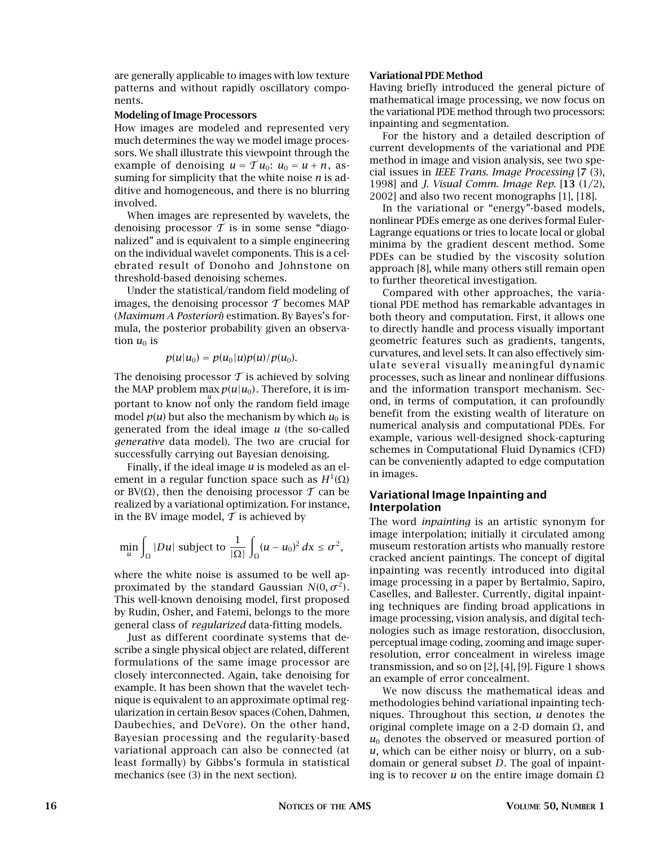are generally applicable to images with low texture patterns and without rapidly oscillatory components.

## **Modeling of Image Processors**

How images are modeled and represented very much determines the way we model image processors. We shall illustrate this viewpoint through the example of denoising  $u = \mathcal{T}u_0$ :  $u_0 = u + n$ , assuming for simplicity that the white noise *n* is additive and homogeneous, and there is no blurring involved.

When images are represented by wavelets, the denoising processor  $\mathcal T$  is in some sense "diagonalized" and is equivalent to a simple engineering on the individual wavelet components. This is a celebrated result of Donoho and Johnstone on threshold-based denoising schemes.

Under the statistical/random field modeling of images, the denoising processor  $\mathcal T$  becomes MAP (*Maximum A Posteriori*) estimation. By Bayes's formula, the posterior probability given an observation  $u_0$  is

$$
p(u|u_0) = p(u_0|u)p(u)/p(u_0).
$$

The denoising processor  $\mathcal T$  is achieved by solving the MAP problem max  $p(u|u_0)$ . Therefore, it is important to know not only the random field image model  $p(u)$  but also the mechanism by which  $u_0$  is generated from the ideal image *u* (the so-called *generative* data model). The two are crucial for successfully carrying out Bayesian denoising.

Finally, if the ideal image *u* is modeled as an element in a regular function space such as  $H^1(Ω)$ or BV( $\Omega$ ), then the denoising processor T can be realized by a variational optimization. For instance, in the BV image model,  $\mathcal T$  is achieved by

$$
\min_{u} \int_{\Omega} |Du| \text{ subject to } \frac{1}{|\Omega|} \int_{\Omega} (u - u_0)^2 \, dx \le \sigma^2,
$$

where the white noise is assumed to be well approximated by the standard Gaussian  $N(0, \sigma^2)$ . This well-known denoising model, first proposed by Rudin, Osher, and Fatemi, belongs to the more general class of *regularized* data-fitting models.

Just as different coordinate systems that describe a single physical object are related, different formulations of the same image processor are closely interconnected. Again, take denoising for example. It has been shown that the wavelet technique is equivalent to an approximate optimal regularization in certain Besov spaces (Cohen, Dahmen, Daubechies, and DeVore). On the other hand, Bayesian processing and the regularity-based variational approach can also be connected (at least formally) by Gibbs's formula in statistical mechanics (see (3) in the next section).

## **Variational PDE Method**

Having briefly introduced the general picture of mathematical image processing, we now focus on the variational PDE method through two processors: inpainting and segmentation.

For the history and a detailed description of current developments of the variational and PDE method in image and vision analysis, see two special issues in *IEEE Trans. Image Processing* [**7** (3), 1998] and *J. Visual Comm. Image Rep.* [**13** (1/2), 2002] and also two recent monographs [1], [18].

In the variational or "energy"-based models, nonlinear PDEs emerge as one derives formal Euler-Lagrange equations or tries to locate local or global minima by the gradient descent method. Some PDEs can be studied by the viscosity solution approach [8], while many others still remain open to further theoretical investigation.

Compared with other approaches, the variational PDE method has remarkable advantages in both theory and computation. First, it allows one to directly handle and process visually important geometric features such as gradients, tangents, curvatures, and level sets. It can also effectively simulate several visually meaningful dynamic processes, such as linear and nonlinear diffusions and the information transport mechanism. Second, in terms of computation, it can profoundly benefit from the existing wealth of literature on numerical analysis and computational PDEs. For example, various well-designed shock-capturing schemes in Computational Fluid Dynamics (CFD) can be conveniently adapted to edge computation in images.

# **Variational Image Inpainting and Interpolation**

The word *inpainting* is an artistic synonym for image interpolation; initially it circulated among museum restoration artists who manually restore cracked ancient paintings. The concept of digital inpainting was recently introduced into digital image processing in a paper by Bertalmio, Sapiro, Caselles, and Ballester. Currently, digital inpainting techniques are finding broad applications in image processing, vision analysis, and digital technologies such as image restoration, disocclusion, perceptual image coding, zooming and image superresolution, error concealment in wireless image transmission, and so on  $[2]$ ,  $[4]$ ,  $[9]$ . Figure 1 shows an example of error concealment.

We now discuss the mathematical ideas and methodologies behind variational inpainting techniques. Throughout this section, *u* denotes the original complete image on a 2-D domain Ω, and  $u_0$  denotes the observed or measured portion of *u*, which can be either noisy or blurry, on a subdomain or general subset *D*. The goal of inpainting is to recover *u* on the entire image domain  $\Omega$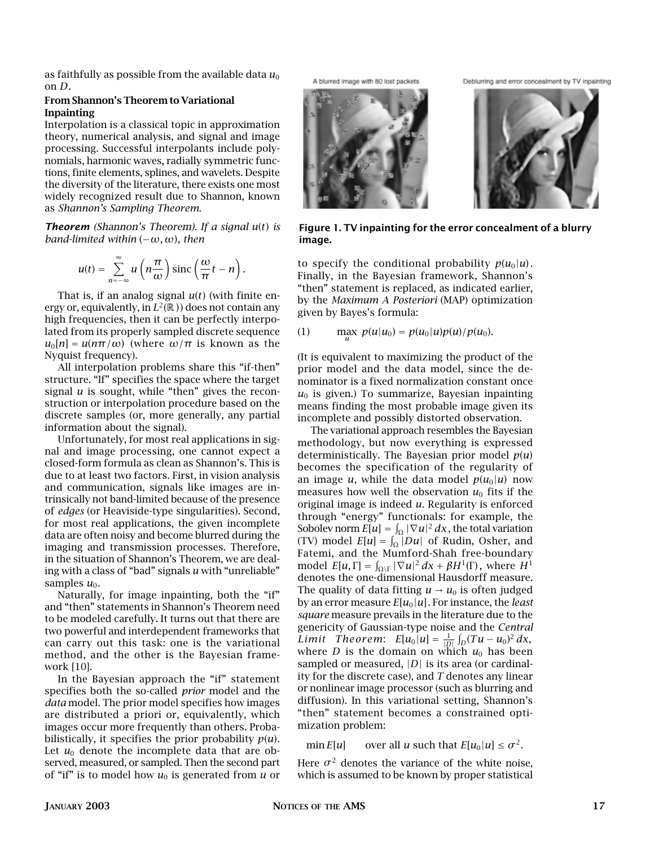as faithfully as possible from the available data  $u_0$ on *D*.

## **From Shannon's Theorem to Variational Inpainting**

Interpolation is a classical topic in approximation theory, numerical analysis, and signal and image processing. Successful interpolants include polynomials, harmonic waves, radially symmetric functions, finite elements, splines, and wavelets. Despite the diversity of the literature, there exists one most widely recognized result due to Shannon, known as *Shannon's Sampling Theorem.*

*Theorem (Shannon's Theorem). If a signal u*(*t*) *is band-limited within* (−*ω,ω*)*, then*

$$
u(t) = \sum_{n=-\infty}^{\infty} u\left(n\frac{\pi}{\omega}\right) \operatorname{sinc}\left(\frac{\omega}{\pi}t - n\right).
$$

That is, if an analog signal *u*(*t*) (with finite energy or, equivalently, in  $L^2(\mathbb{R})$  does not contain any high frequencies, then it can be perfectly interpolated from its properly sampled discrete sequence  $u_0[n] = u(n\pi/\omega)$  (where  $\omega/\pi$  is known as the Nyquist frequency).

All interpolation problems share this "if-then" structure. "If" specifies the space where the target signal *u* is sought, while "then" gives the reconstruction or interpolation procedure based on the discrete samples (or, more generally, any partial information about the signal).

Unfortunately, for most real applications in signal and image processing, one cannot expect a closed-form formula as clean as Shannon's. This is due to at least two factors. First, in vision analysis and communication, signals like images are intrinsically not band-limited because of the presence of *edges* (or Heaviside-type singularities). Second, for most real applications, the given incomplete data are often noisy and become blurred during the imaging and transmission processes. Therefore, in the situation of Shannon's Theorem, we are dealing with a class of "bad" signals *u* with "unreliable" samples  $u_0$ .

Naturally, for image inpainting, both the "if" and "then" statements in Shannon's Theorem need to be modeled carefully. It turns out that there are two powerful and interdependent frameworks that can carry out this task: one is the variational method, and the other is the Bayesian framework [10].

In the Bayesian approach the "if" statement specifies both the so-called *prior* model and the *data* model. The prior model specifies how images are distributed a priori or, equivalently, which images occur more frequently than others. Probabilistically, it specifies the prior probability  $p(u)$ . Let  $u_0$  denote the incomplete data that are observed, measured, or sampled. Then the second part of "if" is to model how  $u_0$  is generated from  $u$  or A blurred image with 80 lost packets





**Figure 1. TV inpainting for the error concealment of a blurry image.**

to specify the conditional probability  $p(u_0|u)$ . Finally, in the Bayesian framework, Shannon's "then" statement is replaced, as indicated earlier, by the *Maximum A Posteriori* (MAP) optimization given by Bayes's formula:

(1) 
$$
\max_{u} p(u|u_0) = p(u_0|u)p(u)/p(u_0).
$$

(It is equivalent to maximizing the product of the prior model and the data model, since the denominator is a fixed normalization constant once  $u_0$  is given.) To summarize, Bayesian inpainting means finding the most probable image given its incomplete and possibly distorted observation.

The variational approach resembles the Bayesian methodology, but now everything is expressed deterministically. The Bayesian prior model  $p(u)$ becomes the specification of the regularity of an image *u*, while the data model  $p(u_0|u)$  now measures how well the observation  $u_0$  fits if the original image is indeed *u*. Regularity is enforced through "energy" functionals: for example, the Sobolev norm  $E[u] = \int_{\Omega} |\nabla u|^2 dx$ , the total variation (TV) model  $E[u] = \int_{\Omega} |Du|$  of Rudin, Osher, and Fatemi, and the Mumford-Shah free-boundary model  $E[u, \Gamma] = \int_{\Omega \setminus \Gamma} |\nabla u|^2 dx + \beta H^1(\Gamma)$ , where  $H^1$ denotes the one-dimensional Hausdorff measure. The quality of data fitting  $u \rightarrow u_0$  is often judged by an error measure  $E[u_0|u]$ . For instance, the *least square* measure prevails in the literature due to the genericity of Gaussian-type noise and the *Central Limit Theorem:*  $E[u_0|u] = \frac{1}{|D|} \int_D (Tu - u_0)^2 dx$ , where *D* is the domain on which  $u_0$  has been sampled or measured, |D| is its area (or cardinality for the discrete case), and *T* denotes any linear or nonlinear image processor (such as blurring and diffusion). In this variational setting, Shannon's "then" statement becomes a constrained optimization problem:

min  $E[u]$  over all *u* such that  $E[u_0|u] \leq \sigma^2$ .

Here  $\sigma^2$  denotes the variance of the white noise, which is assumed to be known by proper statistical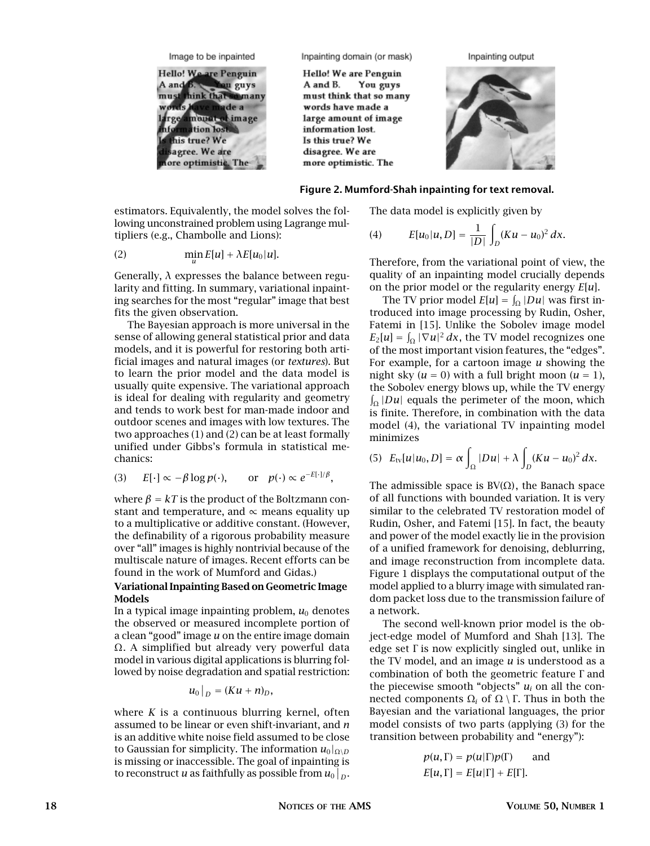Image to be inpainted



Inpainting domain (or mask)

Hello! We are Penguin You guys A and B. must think that so many words have made a large amount of image information lost. Is this true? We disagree. We are more optimistic. The





#### **Figure 2. Mumford-Shah inpainting for text removal.**

estimators. Equivalently, the model solves the following unconstrained problem using Lagrange multipliers (e.g., Chambolle and Lions):

(2) 
$$
\min_{u} E[u] + \lambda E[u_0|u].
$$

Generally, *λ* expresses the balance between regularity and fitting. In summary, variational inpainting searches for the most "regular" image that best fits the given observation.

The Bayesian approach is more universal in the sense of allowing general statistical prior and data models, and it is powerful for restoring both artificial images and natural images (or *textures*). But to learn the prior model and the data model is usually quite expensive. The variational approach is ideal for dealing with regularity and geometry and tends to work best for man-made indoor and outdoor scenes and images with low textures. The two approaches (1) and (2) can be at least formally unified under Gibbs's formula in statistical mechanics:

(3) 
$$
E[\cdot] \propto -\beta \log p(\cdot)
$$
, or  $p(\cdot) \propto e^{-E[\cdot]/\beta}$ ,

where  $\beta = kT$  is the product of the Boltzmann constant and temperature, and  $\propto$  means equality up to a multiplicative or additive constant. (However, the definability of a rigorous probability measure over "all" images is highly nontrivial because of the multiscale nature of images. Recent efforts can be found in the work of Mumford and Gidas.)

# **Variational Inpainting Based on Geometric Image Models**

In a typical image inpainting problem,  $u_0$  denotes the observed or measured incomplete portion of a clean "good" image *u* on the entire image domain Ω. A simplified but already very powerful data model in various digital applications is blurring followed by noise degradation and spatial restriction:

$$
u_0|_D=(Ku+n)_D,
$$

where *K* is a continuous blurring kernel, often assumed to be linear or even shift-invariant, and *n* is an additive white noise field assumed to be close to Gaussian for simplicity. The information  $u_0|_{\Omega\setminus D}$ is missing or inaccessible. The goal of inpainting is to reconstruct *u* as faithfully as possible from  $u_0|_D$ .

The data model is explicitly given by

(4) 
$$
E[u_0|u,D] = \frac{1}{|D|} \int_D (Ku - u_0)^2 dx.
$$

Therefore, from the variational point of view, the quality of an inpainting model crucially depends on the prior model or the regularity energy *E*[*u*].

The TV prior model  $E[u] = \int_{\Omega} |Du|$  was first introduced into image processing by Rudin, Osher, Fatemi in [15]. Unlike the Sobolev image model  $E_2[u] = \int_{\Omega} |\nabla u|^2 dx$ , the TV model recognizes one of the most important vision features, the "edges". For example, for a cartoon image *u* showing the night sky  $(u = 0)$  with a full bright moon  $(u = 1)$ , the Sobolev energy blows up, while the TV energy  $\int_{\Omega} |Du|$  equals the perimeter of the moon, which is finite. Therefore, in combination with the data model (4), the variational TV inpainting model minimizes

(5) 
$$
E_{\text{tv}}[u|u_0, D] = \alpha \int_{\Omega} |Du| + \lambda \int_{D} (Ku - u_0)^2 dx.
$$

The admissible space is  $BV(\Omega)$ , the Banach space of all functions with bounded variation. It is very similar to the celebrated TV restoration model of Rudin, Osher, and Fatemi [15]. In fact, the beauty and power of the model exactly lie in the provision of a unified framework for denoising, deblurring, and image reconstruction from incomplete data. Figure 1 displays the computational output of the model applied to a blurry image with simulated random packet loss due to the transmission failure of a network.

The second well-known prior model is the object-edge model of Mumford and Shah [13]. The edge set Γ is now explicitly singled out, unlike in the TV model, and an image *u* is understood as a combination of both the geometric feature Γ and the piecewise smooth "objects"  $u_i$  on all the connected components  $Ω<sub>i</sub>$  of  $Ω \setminus Γ$ . Thus in both the Bayesian and the variational languages, the prior model consists of two parts (applying (3) for the transition between probability and "energy"):

$$
p(u, \Gamma) = p(u|\Gamma)p(\Gamma)
$$
 and  
 $E[u, \Gamma] = E[u|\Gamma] + E[\Gamma].$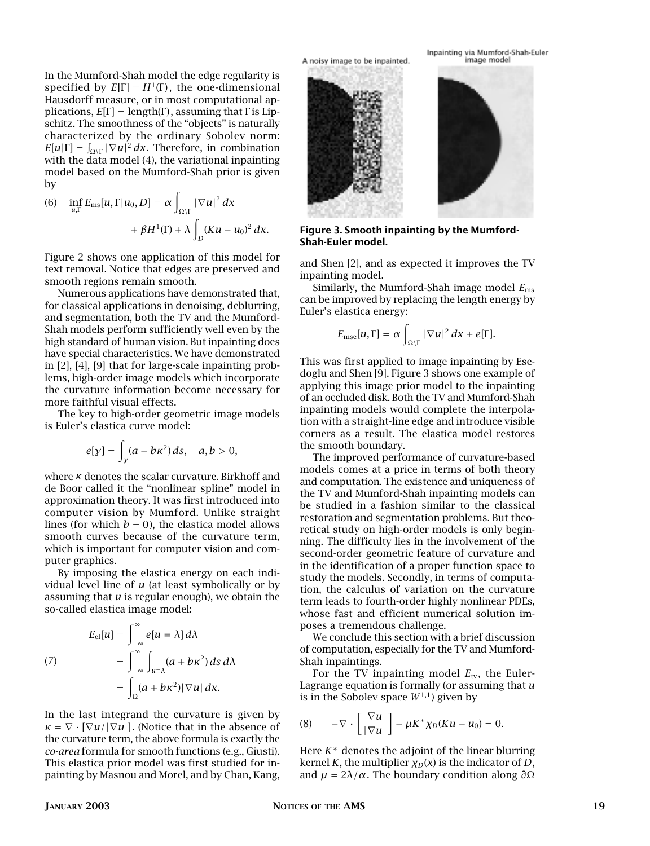In the Mumford-Shah model the edge regularity is specified by  $E[\Gamma] = H^1(\Gamma)$ , the one-dimensional Hausdorff measure, or in most computational applications,  $E[\Gamma] = \text{length}(\Gamma)$ , assuming that  $\Gamma$  is Lipschitz. The smoothness of the "objects" is naturally characterized by the ordinary Sobolev norm:  $E[u|\Gamma] = \int_{\Omega \backslash \Gamma} |\nabla u|^2 dx$ . Therefore, in combination with the data model (4), the variational inpainting model based on the Mumford-Shah prior is given by

(6) 
$$
\inf_{u,\Gamma} E_{\text{ms}}[u,\Gamma|u_0,D] = \alpha \int_{\Omega \backslash \Gamma} |\nabla u|^2 dx
$$

$$
+ \beta H^1(\Gamma) + \lambda \int_D (Ku - u_0)^2 dx.
$$

Figure 2 shows one application of this model for text removal. Notice that edges are preserved and smooth regions remain smooth.

Numerous applications have demonstrated that, for classical applications in denoising, deblurring, and segmentation, both the TV and the Mumford-Shah models perform sufficiently well even by the high standard of human vision. But inpainting does have special characteristics. We have demonstrated in [2], [4], [9] that for large-scale inpainting problems, high-order image models which incorporate the curvature information become necessary for more faithful visual effects.

The key to high-order geometric image models is Euler's elastica curve model:

$$
e[y] = \int_{y} (a + b\kappa^{2}) ds, \quad a, b > 0,
$$

where *κ* denotes the scalar curvature. Birkhoff and de Boor called it the "nonlinear spline" model in approximation theory. It was first introduced into computer vision by Mumford. Unlike straight lines (for which  $b = 0$ ), the elastica model allows smooth curves because of the curvature term, which is important for computer vision and computer graphics.

By imposing the elastica energy on each individual level line of *u* (at least symbolically or by assuming that *u* is regular enough), we obtain the so-called elastica image model:

$$
E_{\text{el}}[u] = \int_{-\infty}^{\infty} e[u \equiv \lambda] d\lambda
$$
\n
$$
(7) \qquad \qquad = \int_{-\infty}^{\infty} \int_{u \equiv \lambda} (a + b\kappa^2) ds \, d\lambda
$$
\n
$$
= \int_{\Omega} (a + b\kappa^2) |\nabla u| \, dx.
$$

In the last integrand the curvature is given by  $\kappa = \nabla \cdot [\nabla u / |\nabla u|]$ . (Notice that in the absence of the curvature term, the above formula is exactly the *co-area* formula for smooth functions (e.g., Giusti). This elastica prior model was first studied for inpainting by Masnou and Morel, and by Chan, Kang, A noisy image to be inpainted.



**Figure 3. Smooth inpainting by the Mumford-Shah-Euler model.**

and Shen [2], and as expected it improves the TV inpainting model.

Similarly, the Mumford-Shah image model *E*ms can be improved by replacing the length energy by Euler's elastica energy:

$$
E_{\text{mse}}[u,\Gamma] = \alpha \int_{\Omega \backslash \Gamma} |\nabla u|^2 dx + e[\Gamma].
$$

This was first applied to image inpainting by Esedoglu and Shen [9]. Figure 3 shows one example of applying this image prior model to the inpainting of an occluded disk. Both the TV and Mumford-Shah inpainting models would complete the interpolation with a straight-line edge and introduce visible corners as a result. The elastica model restores the smooth boundary.

The improved performance of curvature-based models comes at a price in terms of both theory and computation. The existence and uniqueness of the TV and Mumford-Shah inpainting models can be studied in a fashion similar to the classical restoration and segmentation problems. But theoretical study on high-order models is only beginning. The difficulty lies in the involvement of the second-order geometric feature of curvature and in the identification of a proper function space to study the models. Secondly, in terms of computation, the calculus of variation on the curvature term leads to fourth-order highly nonlinear PDEs, whose fast and efficient numerical solution imposes a tremendous challenge.

We conclude this section with a brief discussion of computation, especially for the TV and Mumford-Shah inpaintings.

For the TV inpainting model  $E_{\text{tv}}$ , the Euler-Lagrange equation is formally (or assuming that *u* is in the Sobolev space  $W^{1,1}$ ) given by

$$
(8) \qquad -\nabla \cdot \left[ \frac{\nabla u}{|\nabla u|} \right] + \mu K^* \chi_D (K u - u_0) = 0.
$$

Here *K*<sup>∗</sup> denotes the adjoint of the linear blurring kernel *K*, the multiplier  $\chi_D(x)$  is the indicator of *D*, and  $\mu = 2\lambda/\alpha$ . The boundary condition along  $\partial \Omega$ 

Inpainting via Mumford-Shah-Euler image model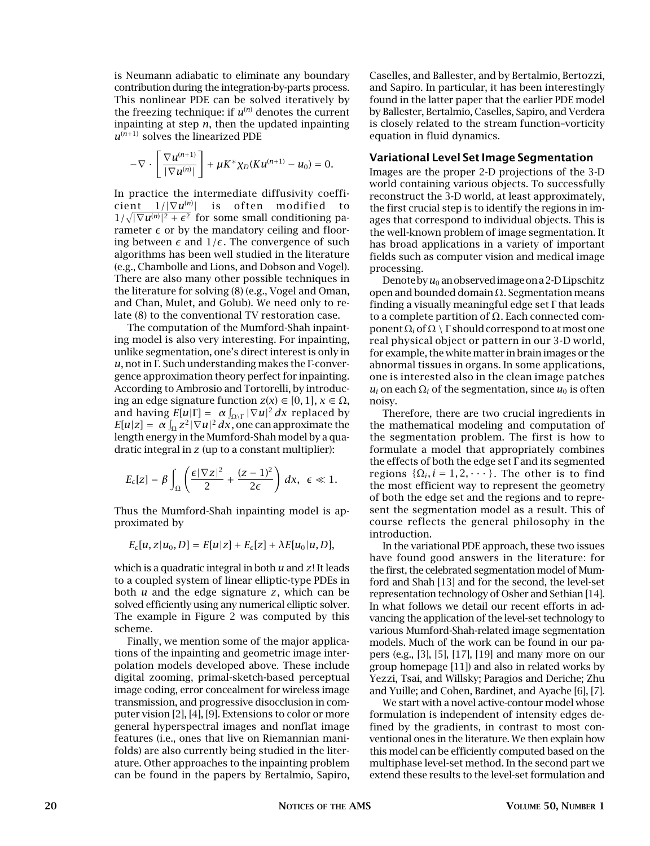is Neumann adiabatic to eliminate any boundary contribution during the integration-by-parts process. This nonlinear PDE can be solved iteratively by the freezing technique: if  $u^{(n)}$  denotes the current inpainting at step *n*, then the updated inpainting  $u^{(n+1)}$  solves the linearized PDE

$$
-\nabla\cdot\left[\frac{\nabla u^{(n+1)}}{|\nabla u^{(n)}|}\right]+\mu K^*\chi_D(Ku^{(n+1)}-u_0)=0.
$$

In practice the intermediate diffusivity coefficient 1*/*|∇*u*(*n*) | is often modified to  $1/\sqrt{|\nabla u^{(n)}|^2 + \epsilon^2}$  for some small conditioning parameter  $\epsilon$  or by the mandatory ceiling and flooring between  $\epsilon$  and  $1/\epsilon$ . The convergence of such algorithms has been well studied in the literature (e.g., Chambolle and Lions, and Dobson and Vogel). There are also many other possible techniques in the literature for solving (8) (e.g., Vogel and Oman, and Chan, Mulet, and Golub). We need only to relate (8) to the conventional TV restoration case.

The computation of the Mumford-Shah inpainting model is also very interesting. For inpainting, unlike segmentation, one's direct interest is only in *u*, not in Γ. Such understanding makes the Γ-convergence approximation theory perfect for inpainting. According to Ambrosio and Tortorelli, by introducing an edge signature function  $z(x) \in [0, 1]$ ,  $x \in \Omega$ , and having  $E[u|\Gamma] = \alpha \int_{\Omega \backslash \Gamma} |\nabla u|^2 dx$  replaced by  $E[u|z] = \alpha \int_{\Omega} z^2 |\nabla u|^2 dx$ , one can approximate the length energy in the Mumford-Shah model by a quadratic integral in *z* (up to a constant multiplier):

$$
E_{\epsilon}[z] = \beta \int_{\Omega} \left( \frac{\epsilon |\nabla z|^2}{2} + \frac{(z-1)^2}{2\epsilon} \right) dx, \ \epsilon \ll 1.
$$

Thus the Mumford-Shah inpainting model is approximated by

$$
E_{\epsilon}[u, z|u_0, D] = E[u|z] + E_{\epsilon}[z] + \lambda E[u_0|u, D],
$$

which is a quadratic integral in both *u* and *z*! It leads to a coupled system of linear elliptic-type PDEs in both *u* and the edge signature *z*, which can be solved efficiently using any numerical elliptic solver. The example in Figure 2 was computed by this scheme.

Finally, we mention some of the major applications of the inpainting and geometric image interpolation models developed above. These include digital zooming, primal-sketch-based perceptual image coding, error concealment for wireless image transmission, and progressive disocclusion in computer vision [2], [4], [9]. Extensions to color or more general hyperspectral images and nonflat image features (i.e., ones that live on Riemannian manifolds) are also currently being studied in the literature. Other approaches to the inpainting problem can be found in the papers by Bertalmio, Sapiro,

Caselles, and Ballester, and by Bertalmio, Bertozzi, and Sapiro. In particular, it has been interestingly found in the latter paper that the earlier PDE model by Ballester, Bertalmio, Caselles, Sapiro, and Verdera is closely related to the stream function–vorticity equation in fluid dynamics.

## **Variational Level Set Image Segmentation**

Images are the proper 2-D projections of the 3-D world containing various objects. To successfully reconstruct the 3-D world, at least approximately, the first crucial step is to identify the regions in images that correspond to individual objects. This is the well-known problem of image segmentation. It has broad applications in a variety of important fields such as computer vision and medical image processing.

Denote by  $u_0$  an observed image on a 2-D Lipschitz open and bounded domain Ω. Segmentation means finding a visually meaningful edge set Γ that leads to a complete partition of  $\Omega$ . Each connected component  $\Omega_i$  of  $\Omega \setminus \Gamma$  should correspond to at most one real physical object or pattern in our 3-D world, for example, the white matter in brain images or the abnormal tissues in organs. In some applications, one is interested also in the clean image patches  $u_i$  on each  $\Omega_i$  of the segmentation, since  $u_0$  is often noisy.

Therefore, there are two crucial ingredients in the mathematical modeling and computation of the segmentation problem. The first is how to formulate a model that appropriately combines the effects of both the edge set Γ and its segmented regions  $\{\Omega_i, i = 1, 2, \dots\}$ . The other is to find the most efficient way to represent the geometry of both the edge set and the regions and to represent the segmentation model as a result. This of course reflects the general philosophy in the introduction.

In the variational PDE approach, these two issues have found good answers in the literature: for the first, the celebrated segmentation model of Mumford and Shah [13] and for the second, the level-set representation technology of Osher and Sethian [14]. In what follows we detail our recent efforts in advancing the application of the level-set technology to various Mumford-Shah-related image segmentation models. Much of the work can be found in our papers (e.g., [3], [5], [17], [19] and many more on our group homepage [11]) and also in related works by Yezzi, Tsai, and Willsky; Paragios and Deriche; Zhu and Yuille; and Cohen, Bardinet, and Ayache [6], [7].

We start with a novel active-contour model whose formulation is independent of intensity edges defined by the gradients, in contrast to most conventional ones in the literature. We then explain how this model can be efficiently computed based on the multiphase level-set method. In the second part we extend these results to the level-set formulation and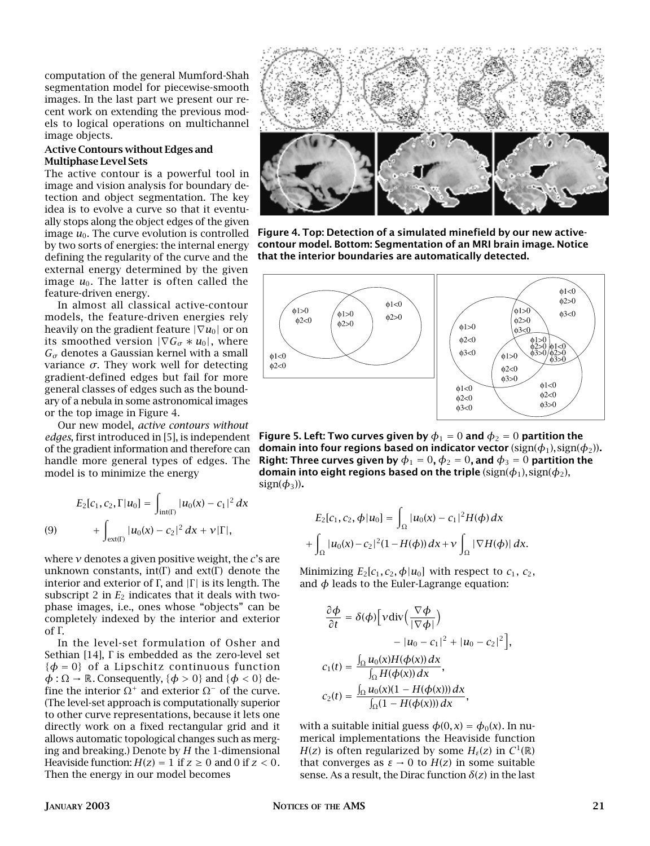computation of the general Mumford-Shah segmentation model for piecewise-smooth images. In the last part we present our recent work on extending the previous models to logical operations on multichannel image objects.

## **Active Contours without Edges and Multiphase Level Sets**

The active contour is a powerful tool in image and vision analysis for boundary detection and object segmentation. The key idea is to evolve a curve so that it eventually stops along the object edges of the given image  $u_0$ . The curve evolution is controlled by two sorts of energies: the internal energy defining the regularity of the curve and the external energy determined by the given image  $u_0$ . The latter is often called the feature-driven energy.

In almost all classical active-contour models, the feature-driven energies rely heavily on the gradient feature  $|\nabla u_0|$  or on its smoothed version  $|\nabla G_{\sigma}*u_0|$ , where  $G_{\sigma}$  denotes a Gaussian kernel with a small variance *σ*. They work well for detecting gradient-defined edges but fail for more general classes of edges such as the boundary of a nebula in some astronomical images or the top image in Figure 4.

Our new model, *active contours without edges*, first introduced in [5], is independent of the gradient information and therefore can handle more general types of edges. The model is to minimize the energy

(9) 
$$
E_2[c_1, c_2, \Gamma | u_0] = \int_{int(\Gamma)} |u_0(x) - c_1|^2 dx
$$

$$
+ \int_{ext(\Gamma)} |u_0(x) - c_2|^2 dx + v |\Gamma|,
$$

where *ν* denotes a given positive weight, the *c*'s are unknown constants, int(Γ) and  $ext(\Gamma)$  denote the interior and exterior of Γ, and  $|\Gamma|$  is its length. The subscript 2 in  $E<sub>2</sub>$  indicates that it deals with twophase images, i.e., ones whose "objects" can be completely indexed by the interior and exterior of Γ.

In the level-set formulation of Osher and Sethian [14], Γ is embedded as the zero-level set  $\{\phi = 0\}$  of a Lipschitz continuous function  $\phi : \Omega \to \mathbb{R}$ . Consequently,  $\{\phi > 0\}$  and  $\{\phi < 0\}$  define the interior  $Ω<sup>+</sup>$  and exterior  $Ω<sup>-</sup>$  of the curve. (The level-set approach is computationally superior to other curve representations, because it lets one directly work on a fixed rectangular grid and it allows automatic topological changes such as merging and breaking.) Denote by *H* the 1-dimensional Heaviside function:  $H(z) = 1$  if  $z \ge 0$  and 0 if  $z < 0$ . Then the energy in our model becomes



**Figure 4. Top: Detection of a simulated minefield by our new activecontour model. Bottom: Segmentation of an MRI brain image. Notice that the interior boundaries are automatically detected.**



**Figure 5. Left: Two curves given by**  $\phi_1 = 0$  and  $\phi_2 = 0$  partition the **domain into four regions based on indicator vector**  $(\text{sign}(\phi_1), \text{sign}(\phi_2))$ . **Right: Three curves given by**  $\phi_1 = 0$ ,  $\phi_2 = 0$ , and  $\phi_3 = 0$  partition the **domain into eight regions based on the triple**  $\text{(sign}(\phi_1), \text{sign}(\phi_2),$  $sign(\phi_3)$ ).

$$
E_2[c_1, c_2, \phi | u_0] = \int_{\Omega} |u_0(x) - c_1|^2 H(\phi) dx
$$
  
+ 
$$
\int_{\Omega} |u_0(x) - c_2|^2 (1 - H(\phi)) dx + v \int_{\Omega} |\nabla H(\phi)| dx.
$$

Minimizing  $E_2[c_1, c_2, \phi | u_0]$  with respect to  $c_1$ ,  $c_2$ , and  $\phi$  leads to the Euler-Lagrange equation:

$$
\frac{\partial \phi}{\partial t} = \delta(\phi) \Big[ v \operatorname{div} \Big( \frac{\nabla \phi}{|\nabla \phi|} \Big) - |u_0 - c_1|^2 + |u_0 - c_2|^2 \Big],
$$
  

$$
c_1(t) = \frac{\int_{\Omega} u_0(x) H(\phi(x)) dx}{\int_{\Omega} H(\phi(x)) dx},
$$
  

$$
c_2(t) = \frac{\int_{\Omega} u_0(x)(1 - H(\phi(x))) dx}{\int_{\Omega} (1 - H(\phi(x))) dx},
$$

with a suitable initial guess  $\phi(0, x) = \phi_0(x)$ . In numerical implementations the Heaviside function *H*(*z*) is often regularized by some  $H_{\varepsilon}(z)$  in  $C^1(\mathbb{R})$ that converges as  $ε \rightarrow 0$  to  $H(z)$  in some suitable sense. As a result, the Dirac function  $\delta(z)$  in the last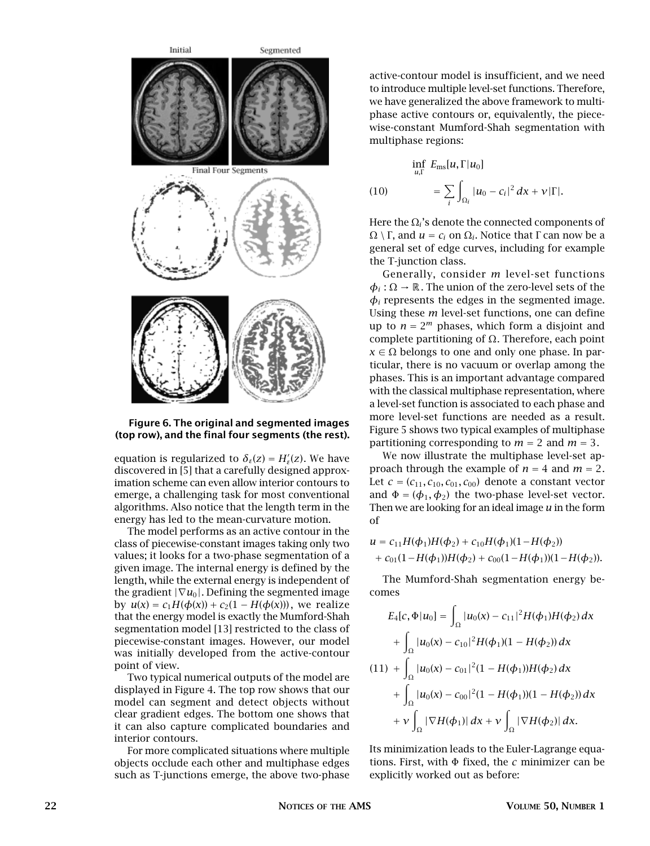

### **Figure 6. The original and segmented images (top row), and the final four segments (the rest).**

equation is regularized to  $\delta_{\varepsilon}(z) = H'_{\varepsilon}(z)$ . We have discovered in [5] that a carefully designed approximation scheme can even allow interior contours to emerge, a challenging task for most conventional algorithms. Also notice that the length term in the energy has led to the mean-curvature motion.

The model performs as an active contour in the class of piecewise-constant images taking only two values; it looks for a two-phase segmentation of a given image. The internal energy is defined by the length, while the external energy is independent of the gradient  $|\nabla u_0|$ . Defining the segmented image by *u*(*x*) = *c*<sub>1</sub>*H*(*φ*(*x*)) + *c*<sub>2</sub>(1 − *H*(*φ*(*x*))), we realize that the energy model is exactly the Mumford-Shah segmentation model [13] restricted to the class of piecewise-constant images. However, our model was initially developed from the active-contour point of view.

Two typical numerical outputs of the model are displayed in Figure 4. The top row shows that our model can segment and detect objects without clear gradient edges. The bottom one shows that it can also capture complicated boundaries and interior contours.

For more complicated situations where multiple objects occlude each other and multiphase edges such as T-junctions emerge, the above two-phase

active-contour model is insufficient, and we need to introduce multiple level-set functions. Therefore, we have generalized the above framework to multiphase active contours or, equivalently, the piecewise-constant Mumford-Shah segmentation with multiphase regions:

$$
\inf_{u,\Gamma} E_{\text{ms}}[u,\Gamma|u_0] \n= \sum_i \int_{\Omega_i} |u_0 - c_i|^2 dx + \nu |\Gamma|.
$$

Here the  $\Omega_i$ 's denote the connected components of  $Ω \setminus Γ$ , and *u* = *c<sub>i</sub>* on  $Ω$ <sub>*i*</sub>. Notice that Γ can now be a general set of edge curves, including for example the T-junction class.

Generally, consider *m* level-set functions  $\phi_i : \Omega \to \mathbb{R}$ . The union of the zero-level sets of the  $\phi_i$  represents the edges in the segmented image. Using these *m* level-set functions, one can define up to  $n = 2^m$  phases, which form a disjoint and complete partitioning of Ω. Therefore, each point  $x \in \Omega$  belongs to one and only one phase. In particular, there is no vacuum or overlap among the phases. This is an important advantage compared with the classical multiphase representation, where a level-set function is associated to each phase and more level-set functions are needed as a result. Figure 5 shows two typical examples of multiphase partitioning corresponding to  $m = 2$  and  $m = 3$ .

We now illustrate the multiphase level-set approach through the example of  $n = 4$  and  $m = 2$ . Let  $c = (c_{11}, c_{10}, c_{01}, c_{00})$  denote a constant vector and  $\Phi = (\phi_1, \phi_2)$  the two-phase level-set vector. Then we are looking for an ideal image *u* in the form of

$$
u = c_{11}H(\phi_1)H(\phi_2) + c_{10}H(\phi_1)(1 - H(\phi_2))
$$
  
+  $c_{01}(1 - H(\phi_1))H(\phi_2) + c_{00}(1 - H(\phi_1))(1 - H(\phi_2)).$ 

The Mumford-Shah segmentation energy becomes

$$
E_4[c, \Phi | u_0] = \int_{\Omega} |u_0(x) - c_{11}|^2 H(\phi_1) H(\phi_2) dx
$$
  
+ 
$$
\int_{\Omega} |u_0(x) - c_{10}|^2 H(\phi_1) (1 - H(\phi_2)) dx
$$
  
(11) + 
$$
\int_{\Omega} |u_0(x) - c_{01}|^2 (1 - H(\phi_1)) H(\phi_2) dx
$$
  
+ 
$$
\int_{\Omega} |u_0(x) - c_{00}|^2 (1 - H(\phi_1)) (1 - H(\phi_2)) dx
$$
  
+ 
$$
\mathcal{V} \int_{\Omega} |\nabla H(\phi_1)| dx + \mathcal{V} \int_{\Omega} |\nabla H(\phi_2)| dx.
$$

Its minimization leads to the Euler-Lagrange equations. First, with Φ fixed, the *c* minimizer can be explicitly worked out as before: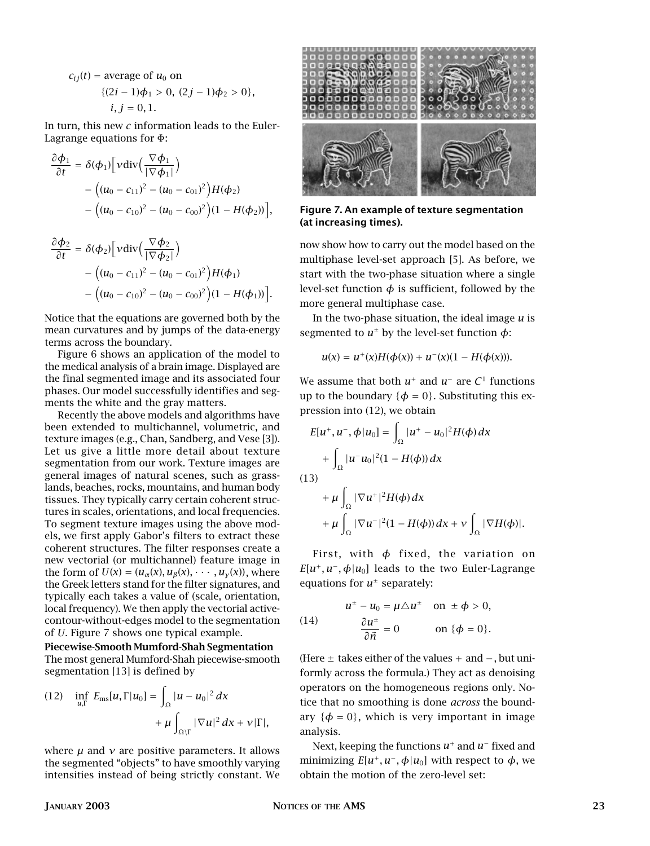$$
c_{ij}(t) = \text{average of } u_0 \text{ on}
$$
  
\n
$$
\{(2i - 1)\phi_1 > 0, (2j - 1)\phi_2 > 0\},
$$
  
\n
$$
i, j = 0, 1.
$$

In turn, this new *c* information leads to the Euler-Lagrange equations for Φ:

$$
\frac{\partial \phi_1}{\partial t} = \delta(\phi_1) \Big[ v \operatorname{div} \Big( \frac{\nabla \phi_1}{|\nabla \phi_1|} \Big) - \Big( (u_0 - c_{11})^2 - (u_0 - c_{01})^2 \Big) H(\phi_2) - \Big( (u_0 - c_{10})^2 - (u_0 - c_{00})^2 \Big) (1 - H(\phi_2)) \Big],
$$

$$
\frac{\partial \phi_2}{\partial t} = \delta(\phi_2) \Big[ v \operatorname{div} \Big( \frac{\nabla \phi_2}{|\nabla \phi_2|} \Big) - \Big( (u_0 - c_{11})^2 - (u_0 - c_{01})^2 \Big) H(\phi_1) - \Big( (u_0 - c_{10})^2 - (u_0 - c_{00})^2 \Big) (1 - H(\phi_1)) \Big].
$$

Notice that the equations are governed both by the mean curvatures and by jumps of the data-energy terms across the boundary.

Figure 6 shows an application of the model to the medical analysis of a brain image. Displayed are the final segmented image and its associated four phases. Our model successfully identifies and segments the white and the gray matters.

Recently the above models and algorithms have been extended to multichannel, volumetric, and texture images (e.g., Chan, Sandberg, and Vese [3]). Let us give a little more detail about texture segmentation from our work. Texture images are general images of natural scenes, such as grasslands, beaches, rocks, mountains, and human body tissues. They typically carry certain coherent structures in scales, orientations, and local frequencies. To segment texture images using the above models, we first apply Gabor's filters to extract these coherent structures. The filter responses create a new vectorial (or multichannel) feature image in the form of  $U(x) = (u_{\alpha}(x), u_{\beta}(x), \cdots, u_{\gamma}(x))$ , where the Greek letters stand for the filter signatures, and typically each takes a value of (scale, orientation, local frequency). We then apply the vectorial activecontour-without-edges model to the segmentation of *U*. Figure 7 shows one typical example.

**Piecewise-Smooth Mumford-Shah Segmentation** The most general Mumford-Shah piecewise-smooth segmentation [13] is defined by

(12) 
$$
\inf_{u,\Gamma} E_{\text{ms}}[u,\Gamma|u_0] = \int_{\Omega} |u - u_0|^2 dx
$$

$$
+ \mu \int_{\Omega \setminus \Gamma} |\nabla u|^2 dx + \nu |\Gamma|,
$$

where *µ* and *ν* are positive parameters. It allows the segmented "objects" to have smoothly varying intensities instead of being strictly constant. We



**Figure 7. An example of texture segmentation (at increasing times).**

now show how to carry out the model based on the multiphase level-set approach [5]. As before, we start with the two-phase situation where a single level-set function  $\phi$  is sufficient, followed by the more general multiphase case.

In the two-phase situation, the ideal image *u* is segmented to  $u^{\pm}$  by the level-set function  $\phi$ :

$$
u(x) = u^{+}(x)H(\phi(x)) + u^{-}(x)(1 - H(\phi(x))).
$$

We assume that both  $u^+$  and  $u^-$  are  $C^1$  functions up to the boundary  $\{\phi = 0\}$ . Substituting this expression into (12), we obtain

$$
E[u^+, u^-, \phi | u_0] = \int_{\Omega} |u^+ - u_0|^2 H(\phi) dx
$$
  
+ 
$$
\int_{\Omega} |u^- u_0|^2 (1 - H(\phi)) dx
$$
  
(13)  
+ 
$$
\mu \int_{\Omega} |\nabla u^+|^2 H(\phi) dx
$$
  
+ 
$$
\mu \int_{\Omega} |\nabla u^-|^2 (1 - H(\phi)) dx + \nu \int_{\Omega} |\nabla H(\phi)|.
$$

First, with *φ* fixed, the variation on  $E[u^+, u^-, \phi | u_0]$  leads to the two Euler-Lagrange equations for  $u^{\pm}$  separately:

(14) 
$$
u^{\pm} - u_0 = \mu \triangle u^{\pm} \text{ on } \pm \phi > 0,
$$

$$
\frac{\partial u^{\pm}}{\partial \vec{n}} = 0 \text{ on } \{\phi = 0\}.
$$

(Here ± takes either of the values + and −, but uniformly across the formula.) They act as denoising operators on the homogeneous regions only. Notice that no smoothing is done *across* the boundary  $\{\phi = 0\}$ , which is very important in image analysis.

Next, keeping the functions *u*<sup>+</sup> and *u*<sup>−</sup> fixed and minimizing  $E[u^+, u^-, \phi | u_0]$  with respect to  $\phi$ , we obtain the motion of the zero-level set: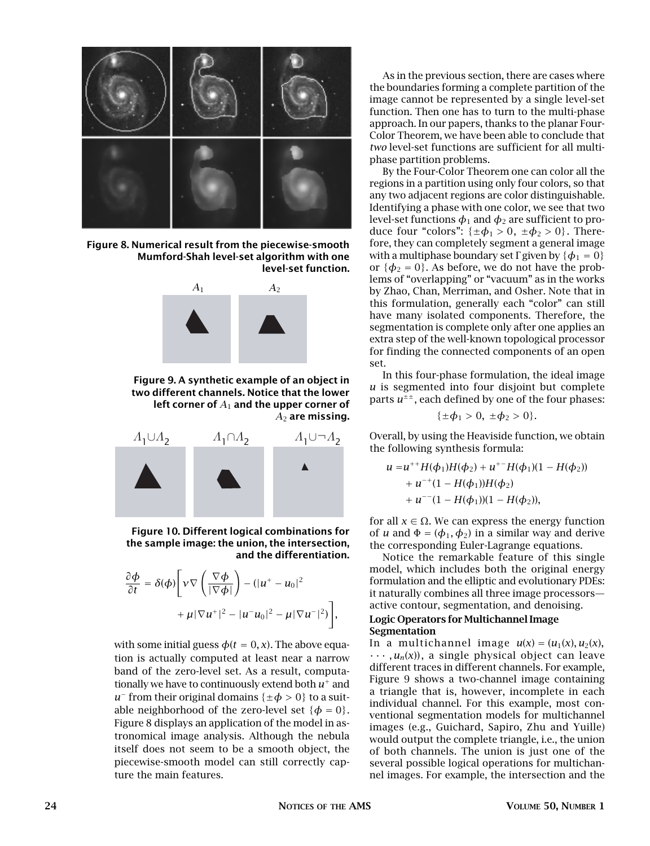

**Figure 8. Numerical result from the piecewise-smooth Mumford-Shah level-set algorithm with one level-set function.**



**Figure 9. A synthetic example of an object in two different channels. Notice that the lower left corner of** *A*<sup>1</sup> **and the upper corner of** *A*<sup>2</sup> **are missing.**



**Figure 10. Different logical combinations for the sample image: the union, the intersection, and the differentiation.**

$$
\frac{\partial \phi}{\partial t} = \delta(\phi) \Bigg[ \nu \nabla \left( \frac{\nabla \phi}{|\nabla \phi|} \right) - (|u^+ - u_0|^2 + \mu |\nabla u^+|^2 - |u^- u_0|^2 - \mu |\nabla u^-|^2) \Bigg],
$$

with some initial guess  $\phi(t = 0, x)$ . The above equation is actually computed at least near a narrow band of the zero-level set. As a result, computationally we have to continuously extend both *u*<sup>+</sup> and *u*<sup>−</sup> from their original domains { $\pm \phi > 0$ } to a suitable neighborhood of the zero-level set  $\{\phi = 0\}$ . Figure 8 displays an application of the model in astronomical image analysis. Although the nebula itself does not seem to be a smooth object, the piecewise-smooth model can still correctly capture the main features.

As in the previous section, there are cases where the boundaries forming a complete partition of the image cannot be represented by a single level-set function. Then one has to turn to the multi-phase approach. In our papers, thanks to the planar Four-Color Theorem, we have been able to conclude that *two* level-set functions are sufficient for all multiphase partition problems.

By the Four-Color Theorem one can color all the regions in a partition using only four colors, so that any two adjacent regions are color distinguishable. Identifying a phase with one color, we see that two level-set functions  $\phi_1$  and  $\phi_2$  are sufficient to produce four "colors":  $\{\pm \phi_1 > 0, \pm \phi_2 > 0\}$ . Therefore, they can completely segment a general image with a multiphase boundary set  $\Gamma$  given by  $\{\phi_1 = 0\}$ or  $\{\phi_2 = 0\}$ . As before, we do not have the problems of "overlapping" or "vacuum" as in the works by Zhao, Chan, Merriman, and Osher. Note that in this formulation, generally each "color" can still have many isolated components. Therefore, the segmentation is complete only after one applies an extra step of the well-known topological processor for finding the connected components of an open set.

In this four-phase formulation, the ideal image *u* is segmented into four disjoint but complete parts  $u^{\pm \pm}$ , each defined by one of the four phases:

$$
\{\pm \phi_1 > 0, \ \pm \phi_2 > 0\}.
$$

Overall, by using the Heaviside function, we obtain the following synthesis formula:

$$
u = u^{++}H(\phi_1)H(\phi_2) + u^{+-}H(\phi_1)(1 - H(\phi_2))
$$
  
+  $u^{-+}(1 - H(\phi_1))H(\phi_2)$   
+  $u^{--}(1 - H(\phi_1))(1 - H(\phi_2)),$ 

for all  $x \in \Omega$ . We can express the energy function of *u* and  $\Phi = (\phi_1, \phi_2)$  in a similar way and derive the corresponding Euler-Lagrange equations.

Notice the remarkable feature of this single model, which includes both the original energy formulation and the elliptic and evolutionary PDEs: it naturally combines all three image processors active contour, segmentation, and denoising.

## **Logic Operators for Multichannel Image Segmentation**

In a multichannel image  $u(x) = (u_1(x), u_2(x))$ ,  $\cdots$ ,  $u_n(x)$ , a single physical object can leave different traces in different channels. For example, Figure 9 shows a two-channel image containing a triangle that is, however, incomplete in each individual channel. For this example, most conventional segmentation models for multichannel images (e.g., Guichard, Sapiro, Zhu and Yuille) would output the complete triangle, i.e., the union of both channels. The union is just one of the several possible logical operations for multichannel images. For example, the intersection and the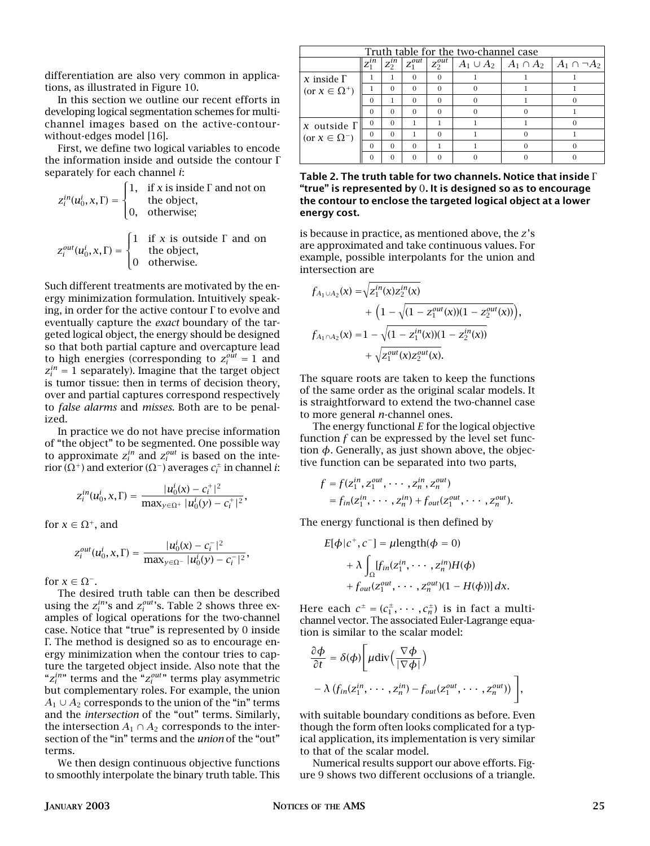differentiation are also very common in applications, as illustrated in Figure 10.

In this section we outline our recent efforts in developing logical segmentation schemes for multichannel images based on the active-contourwithout-edges model [16].

First, we define two logical variables to encode the information inside and outside the contour Γ separately for each channel *i*:

$$
z_i^{in}(u_0^i, x, \Gamma) = \begin{cases} 1, & \text{if } x \text{ is inside } \Gamma \text{ and not on} \\ 0, & \text{the object,} \end{cases}
$$

$$
z_i^{out}(u_0^i, x, \Gamma) = \begin{cases} 1 & \text{if } x \text{ is outside } \Gamma \text{ and on} \\ & \text{the object,} \end{cases}
$$

0 otherwise.

 $\mathfrak{r}$ 

Such different treatments are motivated by the energy minimization formulation. Intuitively speaking, in order for the active contour  $\Gamma$  to evolve and eventually capture the *exact* boundary of the targeted logical object, the energy should be designed so that both partial capture and overcapture lead to high energies (corresponding to  $z_i^{out} = 1$  and  $z_i^{in} = 1$  separately). Imagine that the target object is tumor tissue: then in terms of decision theory, over and partial captures correspond respectively to *false alarms* and *misses*. Both are to be penalized.

In practice we do not have precise information of "the object" to be segmented. One possible way to approximate  $z_i^{in}$  and  $z_i^{out}$  is based on the interior (Ω<sup>+</sup>) and exterior (Ω<sup>−</sup>) averages *c*<sup>±</sup> *<sup>i</sup>* in channel *i*:

$$
z_i^{in}(u_0^i, x, \Gamma) = \frac{|u_0^i(x) - c_i^+|^2}{\max_{y \in \Omega^+} |u_0^i(y) - c_i^+|^2},
$$

for  $x \in \Omega^+$ , and

$$
Z_i^{out}(u_0^i, x, \Gamma) = \frac{|u_0^i(x) - c_i^-|^2}{\max_{y \in \Omega^-} |u_0^i(y) - c_i^-|^2},
$$

for  $x \in \Omega^-$ .

The desired truth table can then be described using the  $z_i^{in}$ 's and  $z_i^{out}$ 's. Table 2 shows three examples of logical operations for the two-channel case. Notice that "true" is represented by 0 inside Γ. The method is designed so as to encourage energy minimization when the contour tries to capture the targeted object inside. Also note that the " $z_i^{in}$ " terms and the " $z_i^{out}$ " terms play asymmetric but complementary roles. For example, the union  $A_1 \cup A_2$  corresponds to the union of the "in" terms and the *intersection* of the "out" terms. Similarly, the intersection  $A_1 \cap A_2$  corresponds to the intersection of the "in" terms and the *union* of the "out" terms.

We then design continuous objective functions to smoothly interpolate the binary truth table. This

| Truth table for the two-channel case          |                                |                       |             |             |  |  |                                                         |  |
|-----------------------------------------------|--------------------------------|-----------------------|-------------|-------------|--|--|---------------------------------------------------------|--|
|                                               | $\overline{z_1}$ <sup>in</sup> | $\overline{z_2^{in}}$ | $Z_1^{out}$ | $Z_2^{out}$ |  |  | $A_1 \cup A_2 \mid A_1 \cap A_2 \mid A_1 \cap \neg A_2$ |  |
| $x$ inside $\Gamma$<br>(or $x \in \Omega^+$ ) |                                |                       | $\Omega$    |             |  |  |                                                         |  |
|                                               |                                | $\Omega$              | $\Omega$    |             |  |  |                                                         |  |
|                                               | $\Omega$                       |                       | $\Omega$    |             |  |  |                                                         |  |
|                                               | $\Omega$                       | $\Omega$              | $\Omega$    |             |  |  |                                                         |  |
| $x$ outside $\Gamma$                          | $\Omega$                       | $\Omega$              |             |             |  |  |                                                         |  |
| (or $x \in \Omega^{-}$ )                      | $\Omega$                       | $\Omega$              |             |             |  |  |                                                         |  |
|                                               | $\Omega$                       | $\Omega$              | $\Omega$    |             |  |  |                                                         |  |
|                                               |                                |                       |             |             |  |  |                                                         |  |

**Table 2. The truth table for two channels. Notice that inside** Γ **"true" is represented by** 0**. It is designed so as to encourage the contour to enclose the targeted logical object at a lower energy cost.**

is because in practice, as mentioned above, the *z*'s are approximated and take continuous values. For example, possible interpolants for the union and intersection are

$$
f_{A_1 \cup A_2}(x) = \sqrt{z_1^{in}(x)z_2^{in}(x)} + \left(1 - \sqrt{(1 - z_1^{out}(x))(1 - z_2^{out}(x))}\right), f_{A_1 \cap A_2}(x) = 1 - \sqrt{(1 - z_1^{in}(x))(1 - z_2^{in}(x))} + \sqrt{z_1^{out}(x)z_2^{out}(x)}.
$$

The square roots are taken to keep the functions of the same order as the original scalar models. It is straightforward to extend the two-channel case to more general *n*-channel ones.

The energy functional *E* for the logical objective function *f* can be expressed by the level set function  $\phi$ . Generally, as just shown above, the objective function can be separated into two parts,

$$
f = f(z_1^{in}, z_1^{out}, \cdots, z_n^{in}, z_n^{out})
$$
  
=  $f_{in}(z_1^{in}, \cdots, z_n^{in}) + f_{out}(z_1^{out}, \cdots, z_n^{out}).$ 

The energy functional is then defined by

$$
E[\phi|c^+, c^-] = \mu \text{length}(\phi = 0)
$$
  
+  $\lambda \int_{\Omega} [f_{in}(z_1^{in}, \cdots, z_n^{in})H(\phi) + f_{out}(z_1^{out}, \cdots, z_n^{out})(1 - H(\phi))] dx.$ 

Here each  $c^{\pm} = (c_1^{\pm}, \cdots, c_n^{\pm})$  is in fact a multichannel vector. The associated Euler-Lagrange equation is similar to the scalar model:

$$
\frac{\partial \phi}{\partial t} = \delta(\phi) \left[ \mu \operatorname{div} \left( \frac{\nabla \phi}{|\nabla \phi|} \right) - \lambda \left( f_{in}(z_1^{in}, \cdots, z_n^{in}) - f_{out}(z_1^{out}, \cdots, z_n^{out}) \right) \right],
$$

with suitable boundary conditions as before. Even though the form often looks complicated for a typical application, its implementation is very similar to that of the scalar model.

Numerical results support our above efforts. Figure 9 shows two different occlusions of a triangle.